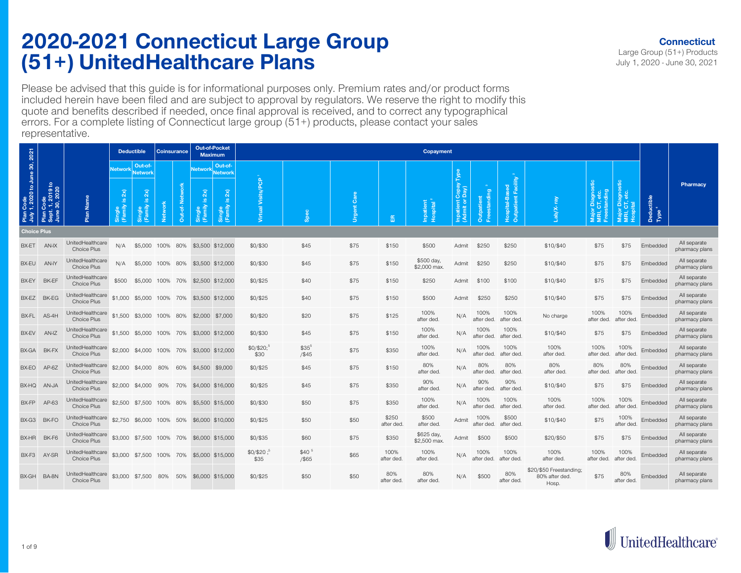Please be advised that this guide is for informational purposes only. Premium rates and/or product forms included herein have been filed and are subject to approval by regulators. We reserve the right to modify this quote and benefits described if needed, once final approval is received, and to correct any typographical errors. For a complete listing of Connecticut large group (51+) products, please contact your sales representative.

|                                            |                                                |                                 |                                            | <b>Deductible</b>                    | <b>Coinsurance</b> |               |                                               | <b>Out-of-Pocket</b><br><b>Maximum</b>                        |                                |                            |             |                     | Copayment                  |                                         |                    |                                       |                                                    |                                   |                        |                                                 |                                |
|--------------------------------------------|------------------------------------------------|---------------------------------|--------------------------------------------|--------------------------------------|--------------------|---------------|-----------------------------------------------|---------------------------------------------------------------|--------------------------------|----------------------------|-------------|---------------------|----------------------------|-----------------------------------------|--------------------|---------------------------------------|----------------------------------------------------|-----------------------------------|------------------------|-------------------------------------------------|--------------------------------|
|                                            |                                                |                                 | <b>Network</b>                             | Out-of-<br>Network                   |                    |               | <b>Network</b>                                | Out-of-<br><b>Network</b>                                     |                                |                            |             |                     |                            |                                         |                    |                                       |                                                    |                                   |                        |                                                 |                                |
| Plan Code<br>July 1, 2020 to June 30, 2021 | Plan Code<br>Sept. 1, 2019 to<br>June 30, 2020 | Plan Name                       | $\overline{2}$<br>$\omega$<br>gle<br>Imily | 2x<br>$\frac{9}{2}$<br>ngle<br>amily | <b>Network</b>     | Out-of-Networ | $\widetilde{\mathbf{x}}$<br>Single<br>(Family | $\widetilde{\mathbf{z}}$<br>$\mathbf{a}$<br>Single<br>(Family | le.<br>Visits/<br>Virtual      | ္တိ                        | ී<br>Urgent | 岛                   | patient<br>pspital         | Copay<br>Day)<br>Inpatient<br>(Admit or | ு<br>patie<br>ã    | Outpatient Facility<br>Hospital-Based |                                                    | agnosti<br>etc<br>nding<br>$\Box$ | Diagnostic<br>CT, etc. | Deductible<br>Tune <sup>4</sup><br>$\mathbb{R}$ | Pharmacy                       |
| <b>Choice Plus</b>                         |                                                |                                 |                                            |                                      |                    |               |                                               |                                                               |                                |                            |             |                     |                            |                                         |                    |                                       |                                                    |                                   |                        |                                                 |                                |
| BX-ET                                      | AN-IX                                          | UnitedHealthcare<br>Choice Plus | N/A                                        | \$5,000 100%                         |                    | 80%           |                                               | \$3,500 \$12,000                                              | \$0/\$30                       | \$45                       | \$75        | \$150               | \$500                      | Admit                                   | \$250              | \$250                                 | \$10/\$40                                          | \$75                              | \$75                   | Embedded                                        | All separate<br>pharmacy plans |
| BX-EU                                      | AN-IY                                          | UnitedHealthcare<br>Choice Plus | N/A                                        | \$5,000 100% 80%                     |                    |               | \$3,500 \$12,000                              |                                                               | \$0/\$30                       | \$45                       | \$75        | \$150               | \$500 day,<br>\$2,000 max. | Admit                                   | \$250              | \$250                                 | \$10/\$40                                          | \$75                              | \$75                   | Embedded                                        | All separate<br>pharmacy plans |
| BX-EY                                      | BK-EF                                          | UnitedHealthcare<br>Choice Plus | \$500                                      | \$5,000 100% 70%                     |                    |               | \$2,500 \$12,000                              |                                                               | \$0/\$25                       | \$40                       | \$75        | \$150               | \$250                      | Admit                                   | \$100              | \$100                                 | \$10/\$40                                          | \$75                              | \$75                   | Embedded                                        | All separate<br>pharmacy plans |
| BX-EZ                                      | BK-EG                                          | UnitedHealthcare<br>Choice Plus | \$1,000                                    | \$5,000 100% 70%                     |                    |               |                                               | \$3,500 \$12,000                                              | \$0/\$25                       | \$40                       | \$75        | \$150               | \$500                      | Admit                                   | \$250              | \$250                                 | \$10/\$40                                          | \$75                              | \$75                   | Embedded                                        | All separate<br>pharmacy plans |
| BX-FL                                      | $AS-4H$                                        | UnitedHealthcare<br>Choice Plus | \$1,500                                    | \$3,000 100% 80%                     |                    |               | \$2,000 \$7,000                               |                                                               | \$0/\$20                       | \$20                       | \$75        | \$125               | 100%<br>after ded.         | N/A                                     | 100%<br>after ded. | 100%<br>after ded.                    | No charge                                          | 100%<br>after ded.                | 100%<br>after ded      | Embedded                                        | All separate<br>pharmacy plans |
| BX-EV                                      | AN-IZ                                          | UnitedHealthcare<br>Choice Plus |                                            | \$1,500 \$5,000 100% 70%             |                    |               | \$3,000 \$12,000                              |                                                               | \$0/\$30                       | \$45                       | \$75        | \$150               | 100%<br>after ded.         | N/A                                     | 100%<br>after ded. | 100%<br>after ded.                    | \$10/\$40                                          | \$75                              | \$75                   | Embedded                                        | All separate<br>pharmacy plans |
|                                            | BX-GA BK-FX                                    | UnitedHealthcare<br>Choice Plus |                                            | \$2,000 \$4,000 100% 70%             |                    |               |                                               | \$3,000 \$12,000                                              | \$0/\$20; <sup>5</sup><br>\$30 | $$35^5$<br>$/$ \$45        | \$75        | \$350               | 100%<br>after ded.         | N/A                                     | 100%<br>after ded. | 100%<br>after ded                     | 100%<br>after ded.                                 | 100%<br>after ded.                | 100%<br>after ded.     | Embedded                                        | All separate<br>pharmacy plans |
| BX-EO                                      | $AP-6Z$                                        | UnitedHealthcare<br>Choice Plus |                                            | \$2,000 \$4,000 80%                  |                    | 60%           | \$4,500 \$9,000                               |                                                               | \$0/\$25                       | \$45                       | \$75        | \$150               | 80%<br>after ded.          | N/A                                     | 80%<br>after ded.  | 80%<br>after ded.                     | 80%<br>after ded.                                  | 80%<br>after ded.                 | 80%<br>after ded.      | Embedded                                        | All separate<br>pharmacy plans |
| BX-HQ                                      | <b>AN-JA</b>                                   | UnitedHealthcare<br>Choice Plus | \$2,000                                    | \$4,000                              | 90%                | 70%           | \$4,000 \$16,000                              |                                                               | \$0/\$25                       | \$45                       | \$75        | \$350               | 90%<br>after ded           | N/A                                     | 90%<br>after ded.  | 90%<br>after ded.                     | \$10/\$40                                          | \$75                              | \$75                   | Embedded                                        | All separate<br>pharmacy plans |
| BX-FP                                      | AP-63                                          | UnitedHealthcare<br>Choice Plus | \$2,500                                    | \$7,500 100% 80%                     |                    |               | \$5,500 \$15,000                              |                                                               | \$0/\$30                       | \$50                       | \$75        | \$350               | 100%<br>after ded.         | N/A                                     | 100%<br>after ded. | 100%<br>after ded.                    | 100%<br>after ded.                                 | 100%<br>after ded.                | 100%<br>after ded      | Embedded                                        | All separate<br>pharmacy plans |
| BX-G3                                      | BK-FO                                          | UnitedHealthcare<br>Choice Plus | \$2,750                                    | \$6,000 100% 50%                     |                    |               | \$6,000 \$10,000                              |                                                               | \$0/\$25                       | \$50                       | \$50        | \$250<br>after ded. | \$500<br>after ded.        | Admit                                   | 100%<br>after ded. | \$500<br>after ded.                   | \$10/\$40                                          | \$75                              | 100%<br>after ded      | Embedded                                        | All separate<br>pharmacy plans |
| BX-HR                                      | BK-F6                                          | UnitedHealthcare<br>Choice Plus |                                            | \$3,000 \$7,500 100% 70%             |                    |               | \$6,000 \$15,000                              |                                                               | $$0/$ \$35                     | \$60                       | \$75        | \$350               | \$625 day,<br>\$2,500 max. | Admit                                   | \$500              | \$500                                 | \$20/\$50                                          | \$75                              | \$75                   | Embedded                                        | All separate<br>pharmacy plans |
| BX-F3                                      | AY-SR                                          | UnitedHealthcare<br>Choice Plus | \$3,000                                    | \$7,500 100%                         |                    | 70%           |                                               | \$5,000 \$15,000                                              | \$0/\$20<br>\$35               | \$40 <sup>5</sup><br>/\$65 | \$65        | 100%<br>after ded   | 100%<br>after ded.         | N/A                                     | 100%<br>after ded. | 100%<br>after ded.                    | 100%<br>after ded.                                 | 100%<br>after ded.                | 100%<br>after ded.     | Embedded                                        | All separate<br>pharmacy plans |
| BX-GH                                      | BA-8N                                          | UnitedHealthcare<br>Choice Plus |                                            | \$3,000 \$7,500 80%                  |                    | 50%           | \$6,000 \$15,000                              |                                                               | \$0/\$25                       | \$50                       | \$50        | 80%<br>after ded.   | 80%<br>after ded           | N/A                                     | \$500              | 80%<br>after ded.                     | \$20/\$50 Freestanding;<br>80% after ded.<br>Hosp. | \$75                              | 80%<br>after ded.      | Embedded                                        | All separate<br>pharmacy plans |

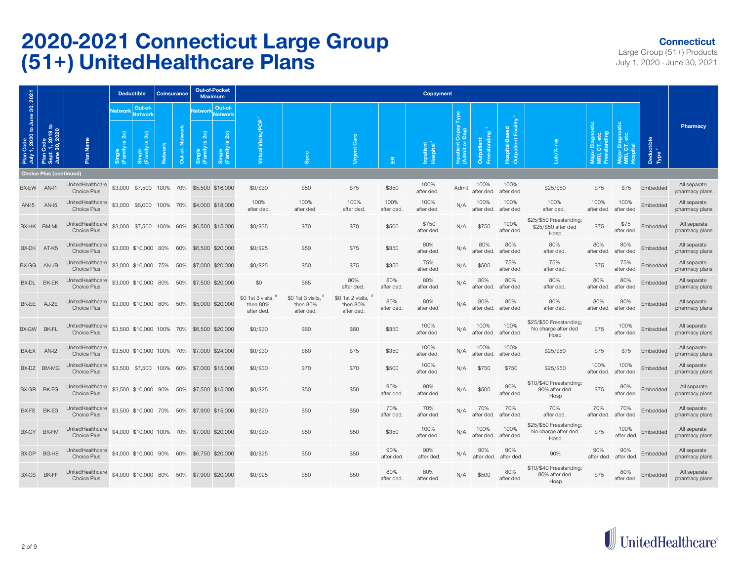#### **Connecticut**

|                                            |                                                              |                                        |                                     | <b>Deductible</b>                                 |                | <b>Coinsurance</b> |                         | <b>Out-of-Pocket</b><br><b>Maximum</b>           |                                             |                                             |                                             |                   | Copayment                          |                                 |                    |                                       |                                                        |                                  |                               |                                         |                                |
|--------------------------------------------|--------------------------------------------------------------|----------------------------------------|-------------------------------------|---------------------------------------------------|----------------|--------------------|-------------------------|--------------------------------------------------|---------------------------------------------|---------------------------------------------|---------------------------------------------|-------------------|------------------------------------|---------------------------------|--------------------|---------------------------------------|--------------------------------------------------------|----------------------------------|-------------------------------|-----------------------------------------|--------------------------------|
|                                            |                                                              |                                        | Networl                             | Out-of-<br><b>Network</b>                         |                |                    | Networ                  | Out-of-<br><b>Network</b>                        |                                             |                                             |                                             |                   |                                    |                                 |                    |                                       |                                                        |                                  |                               |                                         |                                |
| Plan Code<br>July 1, 2020 to June 30, 2021 | Code<br>:. 1, 2019 to<br>9 30, 2020<br>June<br>Plan<br>Sept. | Name<br>Plan                           | $\overline{2}$<br>Single<br>(Family | $\overline{\mathbf{x}}$<br>്<br>Single<br>(Family | <b>Network</b> | Out-of-Netwo       | $\widehat{a}$<br>Single | $\widehat{\mathbf{z}}$<br>ഛ<br>Single<br>(Family | Visits/PCP<br>Virtual                       | န္တ                                         | Care<br><b>Urgent</b>                       | 岛                 | Inpatient<br>Hospital <sup>5</sup> | မိ မီ<br>Inpatient<br>(Admit or | Outpatient         | Outpatient Facility<br>Hospital-Based |                                                        | ignosti<br>ato<br>standing<br>ō. | Diagnos<br>CT, etc.<br>Viajor | Deductible<br>Tyne <sup>4</sup><br>Type | Pharmacy                       |
|                                            | <b>Choice Plus (continued)</b>                               |                                        |                                     |                                                   |                |                    |                         |                                                  |                                             |                                             |                                             |                   |                                    |                                 |                    |                                       |                                                        |                                  |                               |                                         |                                |
| BX-EW                                      | AN-I1                                                        | UnitedHealthcare<br><b>Choice Plus</b> |                                     | \$3,000 \$7,500 100% 70% \$5,500 \$16,000         |                |                    |                         |                                                  | \$0/\$30                                    | \$50                                        | \$75                                        | \$350             | 100%<br>after ded.                 | Admit                           | 100%<br>after ded. | 100%<br>after ded.                    | \$25/\$50                                              | \$75                             | \$75                          | Embedded                                | All separate<br>pharmacy plans |
| $AN-I5$                                    | $AN-I5$                                                      | UnitedHealthcare<br>Choice Plus        | \$3,000                             |                                                   |                |                    |                         | \$6,000 100% 70% \$4,000 \$18,000                | 100%<br>after ded.                          | 100%<br>after ded.                          | 100%<br>after ded                           | 100%<br>after ded | 100%<br>after ded.                 | N/A                             | 100%<br>after ded. | 100%<br>after ded.                    | 100%<br>after ded.                                     | 100%<br>after ded.               | 100%<br>after ded             | Embedded                                | All separate<br>pharmacy plans |
|                                            | BX-HK BM-ML                                                  | UnitedHealthcare<br>Choice Plus        |                                     | \$3,000 \$7,500 100% 60%                          |                |                    |                         | \$6,500 \$15,000                                 | $$0/$ \$35                                  | \$70                                        | \$70                                        | \$500             | \$750<br>after ded.                | N/A                             | \$750              | 100%<br>after ded.                    | \$25/\$50 Freestanding;<br>\$25/\$50 after ded<br>Hosp | \$75                             | \$75<br>after ded             | Embedded                                | All separate<br>pharmacy plans |
| BX-DK                                      | AT-K5                                                        | UnitedHealthcare<br>Choice Plus        |                                     | \$3,000 \$10,000 80% 60%                          |                |                    |                         | \$6,500 \$20,000                                 | \$0/\$25                                    | \$50                                        | \$75                                        | \$350             | 80%<br>after ded.                  | N/A                             | 80%<br>after ded.  | 80%<br>after ded                      | 80%<br>after ded.                                      | 80%<br>after ded.                | 80%<br>after ded.             | Embedded                                | All separate<br>pharmacy plans |
| BX-GG                                      | AN-JB                                                        | UnitedHealthcare<br>Choice Plus        |                                     | \$3,000 \$10,000 75% 50%                          |                |                    |                         | \$7,000 \$20,000                                 | \$0/\$25                                    | \$50                                        | \$75                                        | \$350             | 75%<br>after ded.                  | N/A                             | \$500              | 75%<br>after ded                      | 75%<br>after ded.                                      | \$75                             | 75%<br>after ded              | Embedded                                | All separate<br>pharmacy plans |
| BX-DL                                      | <b>BK-EK</b>                                                 | UnitedHealthcare<br>Choice Plus        |                                     | \$3,000 \$10,000 80%                              |                | 50%                |                         | \$7,500 \$20,000                                 | \$0                                         | \$65                                        | 80%<br>after ded                            | 80%<br>after ded  | 80%<br>after ded.                  | N/A                             | 80%<br>after ded.  | 80%<br>after ded                      | 80%<br>after ded.                                      | 80%<br>after ded.                | 80%<br>after ded              | Embedded                                | All separate<br>pharmacy plans |
| BK-EE                                      | AJ-2E                                                        | UnitedHealthcare<br>Choice Plus        |                                     | \$3,000 \$10,000 80%                              |                | 50%                |                         | \$5,000 \$20,000                                 | \$0 1st 3 visits.<br>then 80%<br>after ded. | \$0 1st 3 visits.<br>then 80%<br>after ded. | \$0 1st 2 visits.<br>then 80%<br>after ded. | 80%<br>after ded. | 80%<br>after ded.                  | N/A                             | 80%<br>after ded.  | 80%<br>after ded.                     | 80%<br>after ded.                                      | 80%<br>after ded.                | 80%<br>after ded.             | Embedded                                | All separate<br>pharmacy plans |
| BX-GW                                      | <b>BK-FL</b>                                                 | UnitedHealthcare<br>Choice Plus        |                                     | \$3,500 \$10,000 100% 70% \$6,500 \$20,000        |                |                    |                         |                                                  | \$0/\$30                                    | \$60                                        | \$60                                        | \$350             | 100%<br>after ded.                 | N/A                             | 100%<br>after ded. | 100%<br>after ded.                    | \$25/\$50 Freestanding;<br>No charge after ded<br>Hosp | \$75                             | 100%<br>after ded             | Embedded                                | All separate<br>pharmacy plans |
| BX-EX                                      | AN-I2                                                        | UnitedHealthcare<br>Choice Plus        |                                     | \$3,500 \$10,000 100% 70% \$7,000 \$24,000        |                |                    |                         |                                                  | \$0/\$30                                    | \$60                                        | \$75                                        | \$350             | 100%<br>after ded.                 | N/A                             | 100%<br>after ded. | 100%<br>after ded                     | \$25/\$50                                              | \$75                             | \$75                          | Embedded                                | All separate<br>pharmacy plans |
|                                            | BX-DZ BM-MG                                                  | UnitedHealthcare<br>Choice Plus        |                                     | \$3,500 \$7,500 100% 60% \$7,000 \$15,000         |                |                    |                         |                                                  | \$0/\$30                                    | \$70                                        | \$70                                        | \$500             | 100%<br>after ded.                 | N/A                             | \$750              | \$750                                 | \$25/\$50                                              | 100%<br>after ded.               | 100%<br>after ded             | Embedded                                | All separate<br>pharmacy plans |
| BX-GR                                      | BK-FG                                                        | UnitedHealthcare<br>Choice Plus        |                                     | \$3,500 \$10,000 90%                              |                | 50%                |                         | \$7,500 \$15,000                                 | \$0/\$25                                    | \$50                                        | \$50                                        | 90%<br>after ded. | 90%<br>after ded.                  | N/A                             | \$500              | 90%<br>after ded.                     | \$10/\$40 Freestanding;<br>90% after ded<br>Hosp       | \$75                             | 90%<br>after ded              | Embedded                                | All separate<br>pharmacy plans |
| BX-FS                                      | BK-E3                                                        | UnitedHealthcare<br>Choice Plus        |                                     | \$3,500 \$10,000 70% 50% \$7,900 \$15,000         |                |                    |                         |                                                  | \$0/\$20                                    | \$50                                        | \$50                                        | 70%<br>after ded. | 70%<br>after ded.                  | N/A                             | 70%<br>after ded.  | 70%<br>after ded.                     | 70%<br>after ded.                                      | 70%<br>after ded.                | 70%<br>after ded              | Embedded                                | All separate<br>pharmacy plans |
| BX-GY                                      | <b>BK-FM</b>                                                 | UnitedHealthcare<br>Choice Plus        |                                     | \$4,000 \$10,000 100% 70% \$7,000 \$20,000        |                |                    |                         |                                                  | \$0/\$30                                    | \$50                                        | \$50                                        | \$350             | 100%<br>after ded.                 | N/A                             | 100%<br>after ded. | 100%<br>after ded.                    | \$25/\$50 Freestanding;<br>No charge after ded<br>Hosp | \$75                             | 100%<br>after ded.            | Embedded                                | All separate<br>pharmacy plans |
| BX-DP                                      | BG-H8                                                        | UnitedHealthcare<br>Choice Plus        |                                     | \$4,000 \$10,000 90% 60% \$6,750 \$20,000         |                |                    |                         |                                                  | \$0/\$25                                    | \$50                                        | \$50                                        | 90%<br>after ded. | 90%<br>after ded.                  | N/A                             | 90%<br>after ded.  | 90%<br>after ded.                     | 90%                                                    | 90%<br>after ded.                | 90%<br>after ded.             | Embedded                                | All separate<br>pharmacy plans |
| BX-GS                                      | BK-FF                                                        | UnitedHealthcare<br>Choice Plus        |                                     | \$4,000 \$10,000 80% 50% \$7,900 \$20,000         |                |                    |                         |                                                  | \$0/\$25                                    | \$50                                        | \$50                                        | 80%<br>after ded. | 80%<br>after ded.                  | N/A                             | \$500              | 80%<br>after ded.                     | \$10/\$40 Freestanding;<br>80% after ded<br>Hosp       | \$75                             | 80%<br>after ded.             | Embedded                                | All separate<br>pharmacy plans |

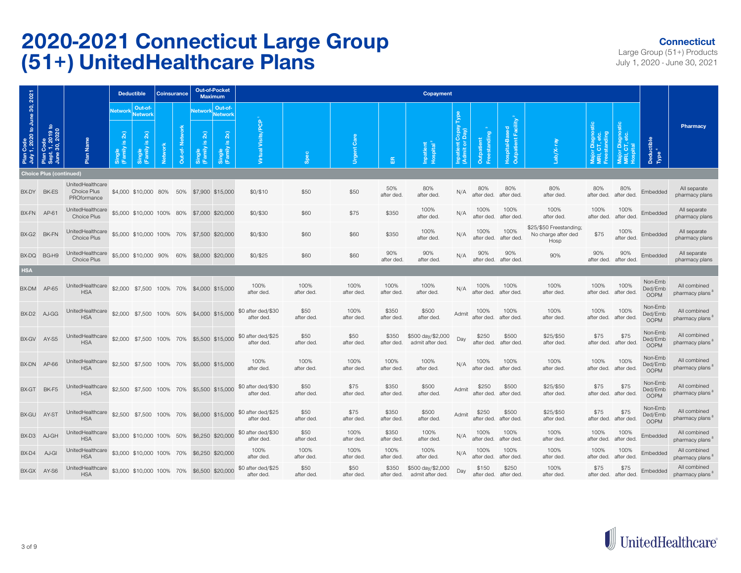#### **Connecticut**

|                                            |                                                |                                                |                                                             | <b>Deductible</b>                                            |                | <b>Coinsurance</b> |                            | <b>Out-of-Pocket</b><br><b>Maximum</b>                                        |                                  |                    |                    |                     | Copayment                             |                          |                     |                                                    |                                                        |                                               |                                   |                                   |                                             |
|--------------------------------------------|------------------------------------------------|------------------------------------------------|-------------------------------------------------------------|--------------------------------------------------------------|----------------|--------------------|----------------------------|-------------------------------------------------------------------------------|----------------------------------|--------------------|--------------------|---------------------|---------------------------------------|--------------------------|---------------------|----------------------------------------------------|--------------------------------------------------------|-----------------------------------------------|-----------------------------------|-----------------------------------|---------------------------------------------|
| Plan Code<br>July 1, 2020 to June 30, 2021 | Plan Code<br>Sept. 1, 2019 to<br>June 30, 2020 | Name                                           | Network<br>$\widetilde{\mathbf{z}}$<br>$\underline{\omega}$ | Out-of-<br>Network<br>$\overline{2}$<br>$\underline{\omega}$ |                | Out-of-Networ      | $\overline{2}$<br>$\omega$ | Out-of-<br>Network Network<br>$\mathbf{2} \mathbf{x}$<br>$\underline{\omega}$ | Visits/PCP                       |                    | Care               |                     |                                       | Copay<br>Day)            | g                   | Hospital-Based<br>Outpatient Facility <sup>2</sup> |                                                        | Major Diagnostic<br>MRI, CT, etc.<br>standing | Major Diagnostic<br>MRI, CT, etc. |                                   | Pharmacy                                    |
|                                            |                                                | Plan                                           | Single<br>(Family                                           | Single<br>(Family                                            | <b>Network</b> |                    | Single<br>(Family          | Single<br>(Family                                                             | Virtual                          | Spec               | <b>Urgent</b>      | 笽                   | Inpatient<br>Hospital <sup>2</sup>    | Inpatient (<br>(Admit or | Outpatient          |                                                    | Lab/X-                                                 |                                               |                                   | Deductible<br>Type <sup>4</sup>   |                                             |
|                                            | <b>Choice Plus (continued)</b>                 |                                                |                                                             |                                                              |                |                    |                            |                                                                               |                                  |                    |                    |                     |                                       |                          |                     |                                                    |                                                        |                                               |                                   |                                   |                                             |
|                                            | BX-DY BK-ES                                    | UnitedHealthcare<br>Choice Plus<br>PROformance |                                                             | \$4,000 \$10,000 80%                                         |                |                    |                            | 50% \$7,900 \$15,000                                                          | \$0/\$10                         | \$50               | \$50               | 50%<br>after ded.   | 80%<br>after ded                      | N/A                      | 80%<br>after ded.   | 80%<br>after ded.                                  | 80%<br>after ded.                                      | 80%<br>after ded.                             | 80%<br>after ded.                 | Embedded                          | All separate<br>pharmacy plans              |
| BX-FN                                      | AP-61                                          | UnitedHealthcare<br>Choice Plus                |                                                             | \$5,000 \$10,000 100% 80%                                    |                |                    |                            | \$7,000 \$20,000                                                              | \$0/\$30                         | \$60               | \$75               | \$350               | 100%<br>after ded.                    | N/A                      | 100%<br>after ded.  | 100%<br>after ded.                                 | 100%<br>after ded.                                     | 100%<br>after ded.                            | 100%<br>after ded.                | Embedded                          | All separate<br>pharmacy plans              |
|                                            | BX-G2 BK-FN                                    | UnitedHealthcare<br>Choice Plus                |                                                             | \$5,000 \$10,000 100% 70% \$7,500 \$20,000                   |                |                    |                            |                                                                               | \$0/\$30                         | \$60               | \$60               | \$350               | 100%<br>after ded.                    | N/A                      | 100%<br>after ded.  | 100%<br>after ded.                                 | \$25/\$50 Freestanding;<br>No charge after ded<br>Hosp | \$75                                          | 100%<br>after ded.                | Embedded                          | All separate<br>pharmacy plans              |
|                                            | BX-DQ BG-H9                                    | UnitedHealthcare<br>Choice Plus                |                                                             | \$5,000 \$10,000 90% 60%                                     |                |                    |                            | \$8,000 \$20,000                                                              | \$0/\$25                         | \$60               | \$60               | 90%<br>after ded.   | 90%<br>after ded.                     | N/A                      | 90%<br>after ded.   | 90%<br>after ded.                                  | 90%                                                    | 90%<br>after ded.                             | 90%<br>after ded.                 | Embedded                          | All separate<br>pharmacy plans              |
| <b>HSA</b>                                 |                                                |                                                |                                                             |                                                              |                |                    |                            |                                                                               |                                  |                    |                    |                     |                                       |                          |                     |                                                    |                                                        |                                               |                                   |                                   |                                             |
| BX-DM                                      | AP-65                                          | UnitedHealthcare<br><b>HSA</b>                 |                                                             |                                                              |                |                    |                            | \$2,000 \$7,500 100% 70% \$4,000 \$15,000                                     | 100%<br>after ded.               | 100%<br>after ded. | 100%<br>after ded. | 100%<br>after ded   | 100%<br>after ded.                    | N/A                      | 100%<br>after ded.  | 100%<br>after ded                                  | 100%<br>after ded.                                     | 100%<br>after ded.                            | 100%<br>after ded.                | Non-Emb<br>Ded/Emb<br><b>OOPM</b> | All combined<br>pharmacy plans              |
| BX-D2                                      | AJ-GG                                          | UnitedHealthcare<br><b>HSA</b>                 |                                                             |                                                              |                |                    |                            | \$2,000 \$7,500 100% 50% \$4,000 \$15,000                                     | \$0 after ded/\$30<br>after ded. | \$50<br>after ded. | 100%<br>after ded. | \$350<br>after ded  | \$500<br>after ded.                   | Admit                    | 100%<br>after ded.  | 100%<br>after ded                                  | 100%<br>after ded.                                     | 100%<br>after ded.                            | 100%<br>after ded.                | Non-Emb<br>Ded/Emb<br><b>OOPM</b> | All combined<br>pharmacy plans <sup>8</sup> |
| BX-GV                                      | AY-S5                                          | UnitedHealthcare<br><b>HSA</b>                 |                                                             | \$2,000 \$7,500 100% 70%                                     |                |                    |                            | \$5,500 \$15,000                                                              | \$0 after ded/\$25<br>after ded. | \$50<br>after ded. | \$50<br>after ded. | \$350<br>after ded. | \$500 day/\$2,000<br>admit after ded. | Day                      | \$250<br>after ded. | \$500<br>after ded.                                | \$25/\$50<br>after ded.                                | \$75<br>after ded.                            | \$75<br>after ded                 | Non-Emb<br>Ded/Emb<br><b>OOPM</b> | All combined<br>pharmacy plans              |
| BX-DN                                      | AP-66                                          | UnitedHealthcare<br><b>HSA</b>                 |                                                             | \$2,500 \$7,500 100% 70%                                     |                |                    |                            | \$5,000 \$15,000                                                              | 100%<br>after ded.               | 100%<br>after ded. | 100%<br>after ded. | 100%<br>after ded.  | 100%<br>after ded.                    | N/A                      | 100%<br>after ded.  | 100%<br>after ded                                  | 100%<br>after ded.                                     | 100%<br>after ded.                            | 100%<br>after ded.                | Non-Emb<br>Ded/Emb<br><b>OOPM</b> | All combined<br>pharmacy plans              |
|                                            | BX-GT BK-F5                                    | UnitedHealthcare<br><b>HSA</b>                 |                                                             |                                                              |                |                    |                            | \$2,500 \$7,500 100% 70% \$5,500 \$15,000                                     | \$0 after ded/\$30<br>after ded. | \$50<br>after ded. | \$75<br>after ded. | \$350<br>after ded  | \$500<br>after ded.                   | Admit                    | \$250<br>after ded. | \$500<br>after ded                                 | \$25/\$50<br>after ded.                                | \$75<br>after ded.                            | \$75<br>after ded.                | Non-Emb<br>Ded/Emb<br><b>OOPM</b> | All combined<br>pharmacy plans <sup>o</sup> |
| BX-GU                                      | AY-ST                                          | UnitedHealthcare<br><b>HSA</b>                 |                                                             |                                                              |                |                    |                            | \$2,500 \$7,500 100% 70% \$6,000 \$15,000                                     | \$0 after ded/\$25<br>after ded. | \$50<br>after ded. | \$75<br>after ded. | \$350<br>after ded  | \$500<br>after ded.                   | Admit                    | \$250<br>after ded. | \$500<br>after ded                                 | \$25/\$50<br>after ded.                                | \$75<br>after ded.                            | \$75<br>after ded.                | Non-Emb<br>Ded/Emb<br><b>OOPM</b> | All combined<br>pharmacy plans              |
| BX-D3                                      | AJ-GH                                          | UnitedHealthcare<br><b>HSA</b>                 |                                                             | \$3,000 \$10,000 100% 50%                                    |                |                    |                            | \$6,250 \$20,000                                                              | \$0 after ded/\$30<br>after ded. | \$50<br>after ded. | 100%<br>after ded. | \$350<br>after ded. | 100%<br>after ded.                    | N/A                      | 100%<br>after ded.  | 100%<br>after ded                                  | 100%<br>after ded.                                     | 100%<br>after ded.                            | 100%<br>after ded.                | Embedded                          | All combined<br>pharmacy plans              |
| BX-D4                                      | AJ-GI                                          | UnitedHealthcare<br><b>HSA</b>                 |                                                             |                                                              |                |                    |                            | \$3,000 \$10,000 100% 70% \$6,250 \$20,000                                    | 100%<br>after ded.               | 100%<br>after ded. | 100%<br>after ded. | 100%<br>after ded.  | 100%<br>after ded.                    | N/A                      | 100%<br>after ded.  | 100%<br>after ded                                  | 100%<br>after ded.                                     | 100%<br>after ded.                            | 100%<br>after ded                 | Embedded                          | All combined<br>pharmacy plans'             |
|                                            | BX-GX AY-S6                                    | UnitedHealthcare<br><b>HSA</b>                 |                                                             |                                                              |                |                    |                            | \$3,000 \$10,000 100% 70% \$6,500 \$20,000                                    | \$0 after ded/\$25<br>after ded. | \$50<br>after ded. | \$50<br>after ded. | \$350<br>after ded. | \$500 day/\$2,000<br>admit after ded. | Day                      | \$150<br>after ded. | \$250<br>after ded                                 | 100%<br>after ded.                                     | \$75<br>after ded.                            | \$75<br>after ded.                | Embedded                          | All combined<br>pharmacy plans              |

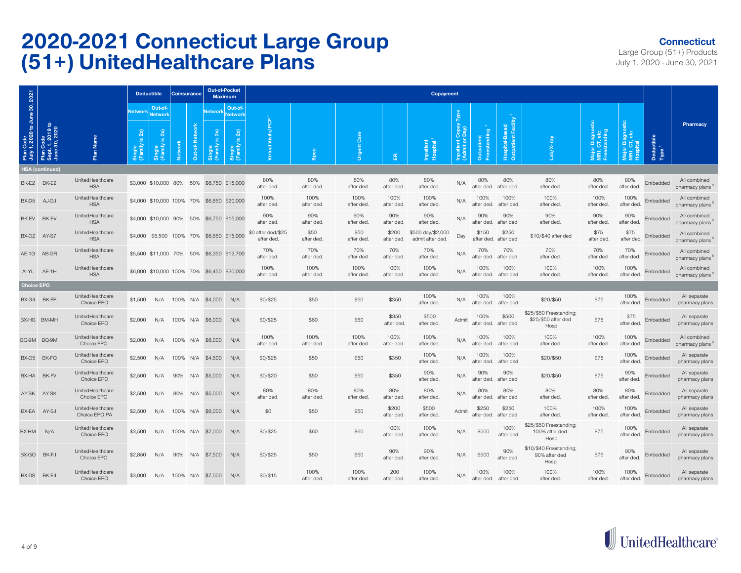#### **Connecticut**

|                                            |                                                |                                   | <b>Deductible</b>                                                 |                                                                                        | <b>Coinsurance</b> |           | <b>Out-of-Pocket</b><br><b>Maximum</b>        |                                                                       |                                  |                    |                    |                     | <b>Copayment</b>                      |                                            |                        |                                        |                                                        |                                          |                    |                                 |                                 |
|--------------------------------------------|------------------------------------------------|-----------------------------------|-------------------------------------------------------------------|----------------------------------------------------------------------------------------|--------------------|-----------|-----------------------------------------------|-----------------------------------------------------------------------|----------------------------------|--------------------|--------------------|---------------------|---------------------------------------|--------------------------------------------|------------------------|----------------------------------------|--------------------------------------------------------|------------------------------------------|--------------------|---------------------------------|---------------------------------|
| Plan Code<br>July 1, 2020 to June 30, 2021 | Plan Code<br>Sept. 1, 2019 to<br>June 30, 2020 | <b>Name</b><br>Plan               | <b>Network</b><br>2x<br>$\underline{\omega}$<br>Single<br>(Family | Out-of-<br><b>Network</b><br>$\overline{2}$<br>$\underline{\omega}$<br>$\frac{2}{\pi}$ | <b>Netwo</b>       | $\bar{5}$ | <b>Network</b><br>$\overline{2}$<br><u>_ഗ</u> | Out-of-<br><b>Network</b><br>2x<br>$\mathbf{a}$<br>Single<br>(Family) | Visits <sub>/</sub>              | န္တိ               | ී<br>Urgent (      | 岛                   | Inpatient<br>Hospital                 | Copa<br>pay)<br>Inpatient C<br>(Admit or I | standing<br>Outpatient | Facility<br>Hospital-Based<br>tpatient | b/X-                                                   | r Diagnos<br>CT, etc.<br>standing<br>žΞ£ | ă۱                 | Deductible<br>Type <sup>4</sup> | Pharmacy                        |
|                                            | <b>HSA</b> (continued)                         |                                   |                                                                   |                                                                                        |                    |           |                                               |                                                                       |                                  |                    |                    |                     |                                       |                                            |                        |                                        |                                                        |                                          |                    |                                 |                                 |
| BK-E2                                      | BK-E2                                          | UnitedHealthcare<br><b>HSA</b>    |                                                                   | \$3,000 \$10,000 80% 50%                                                               |                    |           | \$6,750 \$15,000                              |                                                                       | 80%<br>after ded                 | 80%<br>after ded.  | 80%<br>after ded.  | 80%<br>after ded    | 80%<br>after ded                      | N/A                                        | 80%<br>after ded.      | 80%<br>after ded.                      | 80%<br>after ded                                       | 80%<br>after ded                         | 80%<br>after ded.  | Embedded                        | All combined<br>pharmacy plans  |
| BX-D5                                      | AJ-GJ                                          | UnitedHealthcare<br><b>HSA</b>    |                                                                   | \$4,000 \$10,000 100% 70%                                                              |                    |           | \$6,850 \$20,000                              |                                                                       | 100%<br>after ded                | 100%<br>after ded. | 100%<br>after ded. | 100%<br>after ded   | 100%<br>after ded                     | N/A                                        | 100%<br>after ded.     | 100%<br>after ded.                     | 100%<br>after ded                                      | 100%<br>after ded.                       | 100%<br>after ded  | Embedded                        | All combined<br>pharmacy plans  |
| BK-EV                                      | BK-EV                                          | UnitedHealthcare<br><b>HSA</b>    |                                                                   | \$4,000 \$10,000 90%                                                                   |                    | 50%       | \$6,750 \$15,000                              |                                                                       | 90%<br>after ded                 | 90%<br>after ded.  | 90%<br>after ded.  | 90%<br>after ded    | 90%<br>after ded                      | N/A                                        | 90%<br>after ded.      | 90%<br>after ded.                      | 90%<br>after ded                                       | 90%<br>after ded                         | 90%<br>after ded.  | Embedded                        | All combined<br>pharmacy plans  |
| BX-GZ                                      | AY-S7                                          | UnitedHealthcare<br><b>HSA</b>    |                                                                   | \$4,000 \$6,500 100% 70%                                                               |                    |           | \$6,650 \$15,000                              |                                                                       | \$0 after ded/\$25<br>after ded. | \$50<br>after ded. | \$50<br>after ded. | \$200<br>after ded. | \$500 day/\$2,000<br>admit after ded. | Day                                        | \$150<br>after ded.    | \$250<br>after ded.                    | \$10/\$40 after ded                                    | \$75<br>after ded.                       | \$75<br>after ded. | Embedded                        | All combined<br>pharmacy plans  |
| $AE-1G$                                    | AB-GR                                          | UnitedHealthcare<br><b>HSA</b>    |                                                                   | \$5,500 \$11,000 70%                                                                   |                    | 50%       | \$6,350 \$12,700                              |                                                                       | 70%<br>after ded                 | 70%<br>after ded.  | 70%<br>after ded.  | 70%<br>after ded    | 70%<br>after ded.                     | N/A                                        | 70%<br>after ded.      | 70%<br>after ded.                      | 70%<br>after ded                                       | 70%<br>after ded.                        | 70%<br>after ded.  | Embedded                        | All combined<br>pharmacy plans  |
| Al-YL AE-1H                                |                                                | UnitedHealthcare<br><b>HSA</b>    |                                                                   |                                                                                        |                    |           | \$6,000 \$10,000 100% 70% \$6,450 \$20,000    |                                                                       | 100%<br>after ded                | 100%<br>after ded. | 100%<br>after ded. | 100%<br>after ded   | 100%<br>after ded                     | N/A                                        | 100%<br>after ded.     | 100%<br>after ded                      | 100%<br>after ded                                      | 100%<br>after ded.                       | 100%<br>after ded. | Embedded                        | All combined<br>pharmacy plans  |
| <b>Choice EPO</b>                          |                                                |                                   |                                                                   |                                                                                        |                    |           |                                               |                                                                       |                                  |                    |                    |                     |                                       |                                            |                        |                                        |                                                        |                                          |                    |                                 |                                 |
| BX-G4 BK-FP                                |                                                | UnitedHealthcare<br>Choice EPO    | \$1,500                                                           | N/A                                                                                    | 100% N/A           |           | \$4,000                                       | N/A                                                                   | \$0/\$25                         | \$50               | \$50               | \$350               | 100%<br>after ded                     | N/A                                        | 100%<br>after ded.     | 100%<br>after ded                      | \$20/\$50                                              | \$75                                     | 100%<br>after ded  | Embedded                        | All separate<br>pharmacy plans  |
| BX-HG BM-MH                                |                                                | UnitedHealthcare<br>Choice EPO    | \$2,000                                                           | N/A                                                                                    | 100% N/A           |           | \$6,000                                       | N/A                                                                   | \$0/\$25                         | \$60               | \$60               | \$350<br>after ded. | \$500<br>after ded                    | Admit                                      | 100%<br>after ded.     | \$500<br>after ded.                    | \$25/\$50 Freestanding;<br>\$25/\$50 after ded<br>Hosp | \$75                                     | \$75<br>after ded. | Embedded                        | All separate<br>pharmacy plans  |
| BQ-9M                                      | BQ-9M                                          | UnitedHealthcare<br>Choice EPO    | \$2,000                                                           | N/A                                                                                    | 100%               | N/A       | \$6,000                                       | N/A                                                                   | 100%<br>after ded                | 100%<br>after ded. | 100%<br>after ded. | 100%<br>after ded   | 100%<br>after ded                     | N/A                                        | 100%<br>after ded.     | 100%<br>after ded.                     | 100%<br>after ded.                                     | 100%<br>after ded.                       | 100%<br>after ded. | Embedded                        | All combined<br>pharmacy plans' |
| BX-G5                                      | BK-FQ                                          | UnitedHealthcare<br>Choice EPO    | \$2,500                                                           | N/A                                                                                    | 100%               | N/A       | \$4,500                                       | N/A                                                                   | \$0/\$25                         | \$50               | \$50               | \$350               | 100%<br>after ded                     | N/A                                        | 100%<br>after ded.     | 100%<br>after ded                      | \$20/\$50                                              | \$75                                     | 100%<br>after ded  | Embedded                        | All separate<br>pharmacy plans  |
| BX-HA                                      | BK-FV                                          | UnitedHealthcare<br>Choice EPO    | \$2,500                                                           | N/A                                                                                    | 90%                | N/A       | \$5,000                                       | N/A                                                                   | \$0/\$20                         | \$50               | \$50               | \$350               | 90%<br>after ded                      | N/A                                        | 90%<br>after ded.      | 90%<br>after ded.                      | \$20/\$50                                              | \$75                                     | 90%<br>after ded.  | Embedded                        | All separate<br>pharmacy plans  |
| AY-SK                                      | AY-SK                                          | UnitedHealthcare<br>Choice EPO    | \$2,500                                                           | N/A                                                                                    | 80%                | N/A       | \$5,000                                       | N/A                                                                   | 80%<br>after ded                 | 80%<br>after ded.  | 80%<br>after ded.  | 80%<br>after ded    | 80%<br>after ded                      | N/A                                        | 80%<br>after ded.      | 80%<br>after ded.                      | 80%<br>after ded.                                      | 80%<br>after ded.                        | 80%<br>after ded.  | Embedded                        | All separate<br>pharmacy plans  |
| BX-EA                                      | AY-SJ                                          | UnitedHealthcare<br>Choice EPO PA | \$2,500                                                           | N/A                                                                                    | 100%               | N/A       | \$6,000                                       | N/A                                                                   | \$0                              | \$50               | \$50               | \$200<br>after ded  | \$500<br>after ded                    | Admit                                      | \$250<br>after ded.    | \$250<br>after ded.                    | 100%<br>after ded                                      | 100%<br>after ded                        | 100%<br>after ded  | Embedded                        | All separate<br>pharmacy plans  |
| BX-HM                                      | N/A                                            | UnitedHealthcare<br>Choice EPO    | \$3,500                                                           | N/A                                                                                    | 100%               | N/A       | \$7,000                                       | N/A                                                                   | \$0/\$25                         | \$60               | \$60               | 100%<br>after ded   | 100%<br>after ded                     | N/A                                        | \$500                  | 100%<br>after ded.                     | \$25/\$50 Freestanding;<br>100% after ded.<br>Hosp     | \$75                                     | 100%<br>after ded  | Embedded                        | All separate<br>pharmacy plans  |
| BX-GO                                      | BK-FJ                                          | UnitedHealthcare<br>Choice EPO    | \$2,850                                                           | N/A                                                                                    | 90%                | N/A       | \$7,500                                       | N/A                                                                   | \$0/\$25                         | \$50               | \$50               | 90%<br>after ded    | 90%<br>after ded                      | N/A                                        | \$500                  | 90%<br>after ded.                      | \$10/\$40 Freestanding;<br>90% after ded<br>Hosp       | \$75                                     | 90%<br>after ded.  | Embedded                        | All separate<br>pharmacy plans  |
| BX-DS                                      | BK-E4                                          | UnitedHealthcare<br>Choice EPO    | \$3,000                                                           | N/A                                                                                    | 100% N/A           |           | \$7,000                                       | N/A                                                                   | \$0/\$15                         | 100%<br>after ded. | 100%<br>after ded. | 200<br>after ded.   | 100%<br>after ded                     | N/A                                        | 100%<br>after ded.     | 100%<br>after ded.                     | 100%<br>after ded.                                     | 100%<br>after ded.                       | 100%<br>after ded  | Embedded                        | All separate<br>pharmacy plans  |

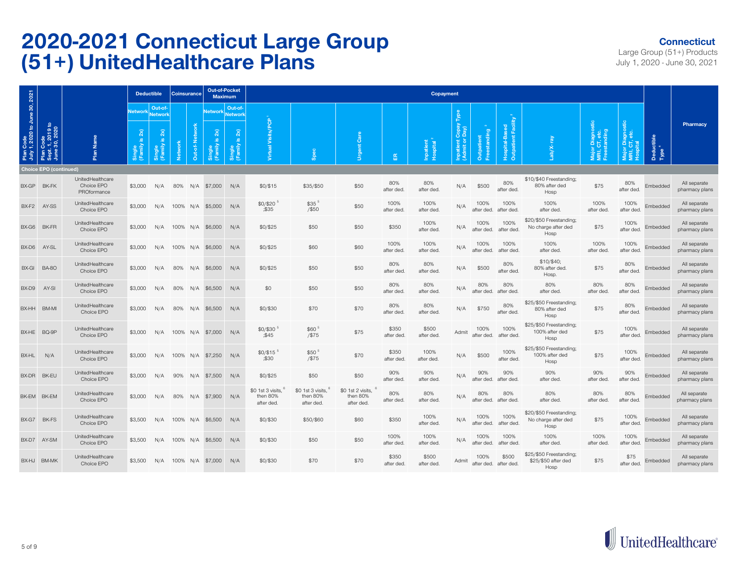#### **Connecticut**

|                                  |                                                |                                               |                                                  | <b>Deductible</b>                                       | <b>Coinsurance</b> |     | <b>Out-of-Pocket</b><br><b>Maximum</b> |                               |                                             |                                             |                                             |                     | <b>Copayment</b>      |                                   |                            |                                |                                                        |                                   |                    |                                 |                                |
|----------------------------------|------------------------------------------------|-----------------------------------------------|--------------------------------------------------|---------------------------------------------------------|--------------------|-----|----------------------------------------|-------------------------------|---------------------------------------------|---------------------------------------------|---------------------------------------------|---------------------|-----------------------|-----------------------------------|----------------------------|--------------------------------|--------------------------------------------------------|-----------------------------------|--------------------|---------------------------------|--------------------------------|
| Code<br>1, 2020 to June 30, 2021 |                                                |                                               | <b>Network</b>                                   | Out-of-<br><b>Network</b>                               |                    |     | <b>Network</b>                         | Out-of-<br>Network            | eoq                                         |                                             |                                             |                     |                       |                                   |                            | Facili                         |                                                        |                                   |                    |                                 | Pharmacy                       |
| Plan<br>July 1                   | Plan Code<br>Sept. 1, 2019 to<br>June 30, 2020 | Plan Name                                     | 2x)<br>$\underline{\omega}$<br>Single<br>(Family | 2x)<br>$\underline{\omega}$<br>(Family<br><b>Single</b> | <b>Network</b>     | å   | 2x<br>ு                                | 2x)<br>Single<br>(Family is 2 | Visits/<br>tual                             | Spec                                        | Care<br><b>Urgent</b>                       | 岳                   | Inpatient<br>Hospital | Inpatient Copay<br>(Admit or Day) | Freestanding<br>Outpatient | Hospital-Ba<br>Outpatient      | ලි                                                     | r Diagnos<br>CT, etc.<br>standing | ă                  | Deductible<br>Type <sup>4</sup> |                                |
|                                  | <b>Choice EPO (continued)</b>                  |                                               |                                                  |                                                         |                    |     |                                        |                               |                                             |                                             |                                             |                     |                       |                                   |                            |                                |                                                        |                                   |                    |                                 |                                |
| BX-GP                            | BK-FK                                          | UnitedHealthcare<br>Choice EPO<br>PROformance | \$3,000                                          | N/A                                                     | 80%                |     | N/A \$7,000                            | N/A                           | \$0/\$15                                    | \$35/\$50                                   | \$50                                        | 80%<br>after ded.   | 80%<br>after ded      | N/A                               | \$500                      | 80%<br>after ded.              | \$10/\$40 Freestanding;<br>80% after ded<br>Hosp       | \$75                              | 80%<br>after ded.  | Embedded                        | All separate<br>pharmacy plans |
|                                  | BX-F2 AY-SS                                    | UnitedHealthcare<br>Choice EPO                | \$3,000                                          | N/A                                                     | 100% N/A           |     | \$5,000                                | N/A                           | $$0/$20$ <sup>5</sup><br>335                | $$35$ <sup>5</sup><br>/\$50                 | \$50                                        | 100%<br>after ded.  | 100%<br>after ded     | N/A                               | 100%<br>after ded.         | 100%<br>after ded.             | 100%<br>after ded.                                     | 100%<br>after ded                 | 100%<br>after ded  | Embedded                        | All separate<br>pharmacy plans |
| BX-G6                            | BK-FR                                          | UnitedHealthcare<br>Choice EPO                | \$3,000                                          | N/A                                                     | 100% N/A           |     | \$6,000                                | N/A                           | \$0/\$25                                    | \$50                                        | \$50                                        | \$350               | 100%<br>after ded     | N/A                               | 100%<br>after ded.         | 100%<br>after ded.             | \$20/\$50 Freestanding;<br>No charge after ded<br>Hosp | \$75                              | 100%<br>after ded. | Embedded                        | All separate<br>pharmacy plans |
|                                  | BX-D6 AY-SL                                    | UnitedHealthcare<br>Choice EPO                | \$3,000                                          | N/A                                                     |                    |     | 100% N/A \$6,000                       | N/A                           | \$0/\$25                                    | \$60                                        | \$60                                        | 100%<br>after ded.  | 100%<br>after ded     | N/A                               | 100%<br>after ded.         | 100%<br>after ded              | 100%<br>after ded.                                     | 100%<br>after ded                 | 100%<br>after ded  | Embedded                        | All separate<br>pharmacy plans |
| BX-GI                            | <b>BA-80</b>                                   | UnitedHealthcare<br>Choice EPO                | \$3,000                                          | N/A                                                     | 80%                | N/A | \$6,000                                | N/A                           | \$0/\$25                                    | \$50                                        | \$50                                        | 80%<br>after ded    | 80%<br>after ded      | N/A                               | \$500                      | 80%<br>after ded.              | \$10/\$40;<br>80% after ded.<br>Hosp.                  | \$75                              | 80%<br>after ded.  | Embedded                        | All separate<br>pharmacy plans |
| BX-D9                            | AY-SI                                          | UnitedHealthcare<br>Choice EPO                | \$3,000                                          | N/A                                                     | 80%                | N/A | \$6,500                                | N/A                           | \$0                                         | \$50                                        | \$50                                        | 80%<br>after ded.   | 80%<br>after ded      | N/A                               | 80%<br>after ded.          | 80%<br>after ded.              | 80%<br>after ded.                                      | 80%<br>after ded                  | 80%<br>after ded.  | Embedded                        | All separate<br>pharmacy plans |
|                                  | BX-HH BM-MI                                    | UnitedHealthcare<br>Choice EPO                | \$3,000                                          | N/A                                                     | 80%                | N/A | \$6,500                                | N/A                           | \$0/\$30                                    | \$70                                        | \$70                                        | 80%<br>after ded.   | 80%<br>after ded      | N/A                               | \$750                      | 80%<br>after ded.              | \$25/\$50 Freestanding;<br>80% after ded<br>Hosp       | \$75                              | 80%<br>after ded.  | Embedded                        | All separate<br>pharmacy plans |
| BX-HE                            | BQ-9P                                          | UnitedHealthcare<br>Choice EPO                | \$3,000                                          | N/A                                                     | 100% N/A           |     | \$7,000                                | N/A                           | \$0/\$30 <sup>5</sup><br>345                | \$60 <sup>5</sup><br>$/$ \$75               | \$75                                        | \$350<br>after ded  | \$500<br>after ded    | Admit                             | 100%<br>after ded.         | 100%<br>after ded.             | \$25/\$50 Freestanding;<br>100% after ded<br>Hosp      | \$75                              | 100%<br>after ded. | Embedded                        | All separate<br>pharmacy plans |
| BX-HL                            | N/A                                            | UnitedHealthcare<br>Choice EPO                | \$3,000                                          | N/A                                                     | 100%               | N/A | \$7,250                                | N/A                           | $$0/$15$ <sup>5</sup><br>;\$30              | \$50 <sup>5</sup><br>$/$ \$75               | \$70                                        | \$350<br>after ded  | 100%<br>after ded.    | N/A                               | \$500                      | 100%<br>after ded.             | \$25/\$50 Freestanding;<br>100% after ded<br>Hosp      | \$75                              | 100%<br>after ded  | Embedded                        | All separate<br>pharmacy plans |
|                                  | BX-DR BK-EU                                    | UnitedHealthcare<br>Choice EPO                | \$3,000                                          | N/A                                                     | 90%                | N/A | \$7,500                                | N/A                           | \$0/\$25                                    | \$50                                        | \$50                                        | 90%<br>after ded.   | 90%<br>after ded.     | N/A                               | 90%<br>after ded.          | 90%<br>after ded.              | 90%<br>after ded.                                      | 90%<br>after ded.                 | 90%<br>after ded.  | Embedded                        | All separate<br>pharmacy plans |
|                                  | BK-EM BK-EM                                    | UnitedHealthcare<br>Choice EPO                | \$3,000                                          | N/A                                                     | 80%                | N/A | \$7,900                                | N/A                           | \$0 1st 3 visits.<br>then 80%<br>after ded. | \$0 1st 3 visits.<br>then 80%<br>after ded. | \$0 1st 2 visits,<br>then 80%<br>after ded. | 80%<br>after ded.   | 80%<br>after ded.     | N/A                               | 80%<br>after ded.          | 80%<br>after ded.              | 80%<br>after ded.                                      | 80%<br>after ded                  | 80%<br>after ded.  | Embedded                        | All separate<br>pharmacy plans |
| BX-G7                            | BK-FS                                          | UnitedHealthcare<br>Choice EPO                | \$3,500                                          | N/A                                                     | 100%               | N/A | \$6,500                                | N/A                           | \$0/\$30                                    | \$50/\$60                                   | \$60                                        | \$350               | 100%<br>after ded.    | N/A                               | 100%<br>after ded.         | 100%<br>after ded.             | \$20/\$50 Freestanding;<br>No charge after ded<br>Hosp | \$75                              | 100%<br>after ded. | Embedded                        | All separate<br>pharmacy plans |
|                                  | BX-D7 AY-SM                                    | UnitedHealthcare<br>Choice EPO                | \$3,500                                          | N/A                                                     | 100% N/A           |     | \$6,500                                | N/A                           | \$0/\$30                                    | \$50                                        | \$50                                        | 100%<br>after ded.  | 100%<br>after ded     | N/A                               | 100%<br>after ded.         | 100%<br>after ded              | 100%<br>after ded.                                     | 100%<br>after ded                 | 100%<br>after ded  | Embedded                        | All separate<br>pharmacy plans |
|                                  | BX-HJ BM-MK                                    | UnitedHealthcare<br>Choice EPO                | \$3,500                                          | N/A                                                     |                    |     | 100% N/A \$7,000                       | N/A                           | \$0/\$30                                    | \$70                                        | \$70                                        | \$350<br>after ded. | \$500<br>after ded    | Admit                             | 100%                       | \$500<br>after ded. after ded. | \$25/\$50 Freestanding:<br>\$25/\$50 after ded<br>Hosp | \$75                              | \$75<br>after ded  | Embedded                        | All separate<br>pharmacy plans |

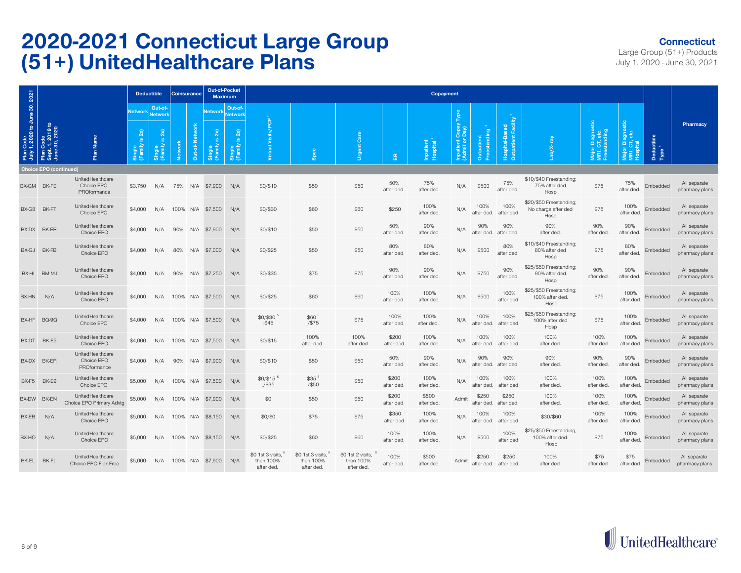#### **Connecticut**

| 2021                                              |                                                           |                                               | <b>Deductible</b>                                           |                                                     | Coinsurance    |              | <b>Out-of-Pocket</b><br><b>Maximum</b> |                                                 |                                              |                                              |                                              |                     | Copayment             |                                             |                               |                                    |                                                        |                                   |                    |                                 |                                |
|---------------------------------------------------|-----------------------------------------------------------|-----------------------------------------------|-------------------------------------------------------------|-----------------------------------------------------|----------------|--------------|----------------------------------------|-------------------------------------------------|----------------------------------------------|----------------------------------------------|----------------------------------------------|---------------------|-----------------------|---------------------------------------------|-------------------------------|------------------------------------|--------------------------------------------------------|-----------------------------------|--------------------|---------------------------------|--------------------------------|
|                                                   |                                                           |                                               | <b>Network</b>                                              | Out-of-<br><b>Network</b>                           |                |              | <b>Network</b>                         | Out-of-<br><b>Network</b>                       |                                              |                                              |                                              |                     |                       |                                             |                               |                                    |                                                        |                                   |                    |                                 | Pharmacy                       |
| n Code<br>r 1, 2020 to June 30, 2<br>Plan<br>July | Code<br>1, 2019 to<br>, 30, 2020<br>Plan<br>Sept.<br>June | Plan Name                                     | $\widetilde{\mathbf{z}}$<br>$\omega$<br>$\frac{2}{10}$<br>洒 | $2x)$<br>$\overline{\mathbf{v}}$<br>amily<br>Single | <b>Network</b> | ž<br>Out-of- | 2x                                     | 2x)<br>$\overline{\omega}$<br>Single<br>(Family | Visits/PCP<br>Virtual                        | Spec                                         | Care<br>Urgent                               | 岳                   | Inpatient<br>Hospital | Copay<br>Vedo<br>Inpatient C<br>(Admit or I | standing<br><b>Outpatient</b> | Facil<br>Outpatient<br>Hospital-Ba |                                                        | r Diagnos<br>CT, etc.<br>standing | ö                  | Deductible<br>Type <sup>4</sup> |                                |
|                                                   | <b>Choice EPO (continued)</b>                             |                                               |                                                             |                                                     |                |              |                                        |                                                 |                                              |                                              |                                              |                     |                       |                                             |                               |                                    |                                                        |                                   |                    |                                 |                                |
|                                                   | BX-GM BK-FE                                               | UnitedHealthcare<br>Choice EPO<br>PROformance | \$3,750                                                     | N/A                                                 | 75%            |              | N/A \$7,900                            | N/A                                             | \$0/\$10                                     | \$50                                         | \$50                                         | 50%<br>after ded.   | 75%<br>after ded.     | N/A                                         | \$500                         | 75%<br>after ded.                  | \$10/\$40 Freestanding;<br>75% after ded<br>Hosp       | \$75                              | 75%<br>after ded.  | Embedded                        | All separate<br>pharmacy plans |
| BX-G8                                             | BK-FT                                                     | UnitedHealthcare<br>Choice EPO                | \$4,000                                                     | N/A                                                 |                |              | 100% N/A \$7,500                       | N/A                                             | \$0/\$30                                     | \$60                                         | \$60                                         | \$250               | 100%<br>after ded.    | N/A                                         | 100%<br>after ded.            | 100%<br>after ded.                 | \$20/\$50 Freestanding;<br>No charge after ded<br>Hosp | \$75                              | 100%<br>after ded. | Embedded                        | All separate<br>pharmacy plans |
| BX-DX                                             | BK-ER                                                     | UnitedHealthcare<br>Choice EPO                | \$4,000                                                     | N/A                                                 | 90%            | N/A          | \$7,900                                | N/A                                             | \$0/\$10                                     | \$50                                         | \$50                                         | 50%<br>after ded.   | 90%<br>after ded.     | N/A                                         | 90%<br>after ded.             | 90%<br>after ded.                  | 90%<br>after ded.                                      | 90%<br>after ded                  | 90%<br>after ded.  | Embedded                        | All separate<br>pharmacy plans |
| BX-GJ                                             | BK-FB                                                     | UnitedHealthcare<br>Choice EPO                | \$4,000                                                     | N/A                                                 | 80%            |              | N/A \$7,000                            | N/A                                             | \$0/\$25                                     | \$50                                         | \$50                                         | 80%<br>after ded.   | 80%<br>after ded.     | N/A                                         | \$500                         | 80%<br>after ded.                  | \$10/\$40 Freestanding;<br>80% after ded<br>Hosp       | \$75                              | 80%<br>after ded.  | Embedded                        | All separate<br>pharmacy plans |
| BX-HI                                             | BM-MJ                                                     | UnitedHealthcare<br>Choice EPO                | \$4,000                                                     | N/A                                                 | 90%            | N/A          | \$7,250                                | N/A                                             | $$0/$ \$35                                   | \$75                                         | \$75                                         | 90%<br>after ded.   | 90%<br>after ded.     | N/A                                         | \$750                         | 90%<br>after ded.                  | \$25/\$50 Freestanding;<br>90% after ded<br>Hosp       | 90%<br>after ded                  | 90%<br>after ded.  | Embedded                        | All separate<br>pharmacy plans |
| BX-HN                                             | N/A                                                       | UnitedHealthcare<br>Choice EPO                | \$4,000                                                     | N/A                                                 |                |              | 100% N/A \$7,500                       | N/A                                             | \$0/\$25                                     | \$60                                         | \$60                                         | 100%<br>after ded.  | 100%<br>after ded.    | N/A                                         | \$500                         | 100%<br>after ded                  | \$25/\$50 Freestanding;<br>100% after ded.<br>Hosp     | \$75                              | 100%<br>after ded. | Embedded                        | All separate<br>pharmacy plans |
|                                                   | BX-HF BQ-9Q                                               | UnitedHealthcare<br>Choice EPO                | \$4,000                                                     | N/A                                                 |                |              | 100% N/A \$7,500                       | N/A                                             | \$0/\$30<br>: \$45                           | $$60$ <sup>5</sup><br>$/$ \$75               | \$75                                         | 100%<br>after ded.  | 100%<br>after ded.    | N/A                                         | 100%<br>after ded.            | 100%<br>after ded.                 | \$25/\$50 Freestanding;<br>100% after ded<br>Hosp      | \$75                              | 100%<br>after ded  | Embedded                        | All separate<br>pharmacy plans |
| BX-DT                                             | BK-E5                                                     | UnitedHealthcare<br>Choice EPO                | \$4,000                                                     | N/A                                                 |                |              | 100% N/A \$7,500                       | N/A                                             | \$0/\$15                                     | 100%<br>after ded                            | 100%<br>after ded.                           | \$200<br>after ded  | 100%<br>after ded.    | N/A                                         | 100%<br>after ded.            | 100%<br>after ded.                 | 100%<br>after ded.                                     | 100%<br>after ded                 | 100%<br>after ded  | Embedded                        | All separate<br>pharmacy plans |
| BX-DX                                             | BK-ER                                                     | UnitedHealthcare<br>Choice EPO<br>PROformance | \$4,000                                                     | N/A                                                 | 90%            | N/A          | \$7,900                                | N/A                                             | \$0/\$10                                     | \$50                                         | \$50                                         | 50%<br>after ded.   | 90%<br>after ded.     | N/A                                         | 90%<br>after ded.             | 90%<br>after ded.                  | 90%<br>after ded.                                      | 90%<br>after ded                  | 90%<br>after ded.  | Embedded                        | All separate<br>pharmacy plans |
| BX-F5                                             | BK-E9                                                     | UnitedHealthcare<br>Choice EPO                | \$5,000                                                     | N/A                                                 | 100% N/A       |              | \$7,500                                | N/A                                             | \$0/\$15<br>$\frac{7535}{500}$               | \$35 5<br>$/$ \$50                           | \$50                                         | \$200<br>after ded. | 100%<br>after ded.    | N/A                                         | 100%<br>after ded.            | 100%<br>after ded                  | 100%<br>after ded.                                     | 100%<br>after ded                 | 100%<br>after ded  | Embedded                        | All separate<br>pharmacy plans |
| BX-DW                                             | <b>BK-EN</b>                                              | UnitedHealthcare<br>Choice EPO Primary Advtg  | \$5,000                                                     | N/A                                                 | 100%           | N/A          | \$7,900                                | N/A                                             | \$0                                          | \$50                                         | \$50                                         | \$200<br>after ded. | \$500<br>after ded.   | Admit                                       | \$250<br>after ded.           | \$250<br>after ded.                | 100%<br>after ded.                                     | 100%<br>after ded                 | 100%<br>after ded  | Embedded                        | All separate<br>pharmacy plans |
| BX-EB                                             | N/A                                                       | UnitedHealthcare<br>Choice EPO                | \$5,000                                                     | N/A                                                 | 100%           | N/A          | \$8,150                                | N/A                                             | \$0/\$0                                      | \$75                                         | \$75                                         | \$350<br>after ded  | 100%<br>after ded.    | N/A                                         | 100%<br>after ded.            | 100%<br>after ded                  | \$30/\$60                                              | 100%<br>after ded                 | 100%<br>after ded. | Embedded                        | All separate<br>pharmacy plans |
| BX-HO                                             | N/A                                                       | UnitedHealthcare<br>Choice EPO                | \$5,000                                                     | N/A                                                 | 100%           | N/A          | \$8,150                                | N/A                                             | \$0/\$25                                     | \$60                                         | \$60                                         | 100%<br>after ded.  | 100%<br>after ded.    | N/A                                         | \$500                         | 100%<br>after ded                  | \$25/\$50 Freestanding;<br>100% after ded.<br>Hosp     | \$75                              | 100%<br>after ded. | Embedded                        | All separate<br>pharmacy plans |
| BK-EL BK-EL                                       |                                                           | UnitedHealthcare<br>Choice EPO Flex Free      | \$5,000                                                     | N/A                                                 |                |              | 100% N/A \$7,900                       | N/A                                             | \$0 1st 3 visits.<br>then 100%<br>after ded. | \$0 1st 3 visits.<br>then 100%<br>after ded. | \$0 1st 2 visits,<br>then 100%<br>after ded. | 100%<br>after ded.  | \$500<br>after ded.   | Admit                                       | \$250<br>after ded.           | \$250<br>after ded                 | 100%<br>after ded.                                     | \$75<br>after ded.                | \$75<br>after ded. | Embedded                        | All separate<br>pharmacy plans |

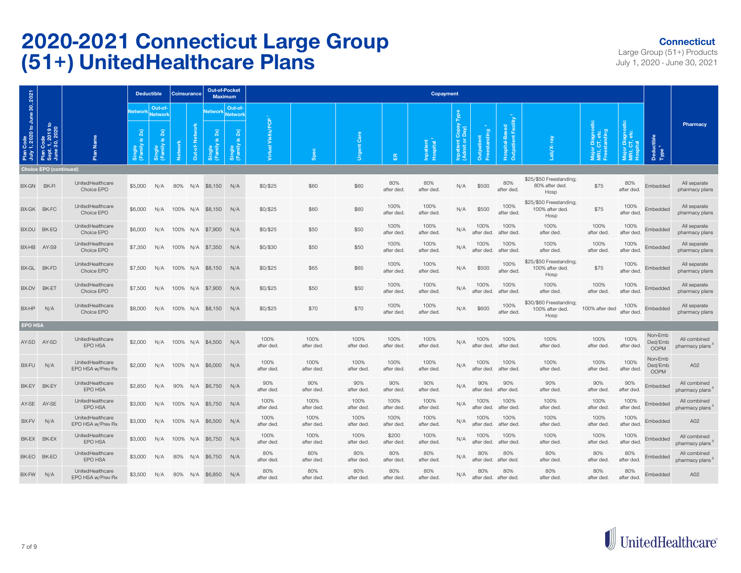#### **Connecticut**

|                                            |                                                |                                       |                                        | <b>Deductible</b>  | <b>Coinsurance</b> |     | Out-of-Pocket<br><b>Maximum</b> |                                                      |                      |                    |                    |                     | <b>Copayment</b>      |                                          |                    |                                 |                                                    |                                       |                    |                                   |                                |
|--------------------------------------------|------------------------------------------------|---------------------------------------|----------------------------------------|--------------------|--------------------|-----|---------------------------------|------------------------------------------------------|----------------------|--------------------|--------------------|---------------------|-----------------------|------------------------------------------|--------------------|---------------------------------|----------------------------------------------------|---------------------------------------|--------------------|-----------------------------------|--------------------------------|
|                                            |                                                |                                       | <b>Network</b>                         | Out-of-<br>Network |                    |     | <b>Network</b>                  | Out-of-<br>Network                                   |                      |                    |                    |                     |                       |                                          |                    |                                 |                                                    |                                       |                    |                                   |                                |
| Plan Code<br>July 1, 2020 to June 30, 2021 | Plan Code<br>Sept. 1, 2019 to<br>June 30, 2020 | Plan Name                             | 2x)<br>$\underline{\omega}$<br>으슬<br>函 | 2x<br>ு<br>ingle   | <b>Networ</b>      | õ   | 2x<br>ഛ                         | $2x)$<br>$\underline{\omega}$<br>Single<br>(Family i | ၓ<br>Visits/<br>tual | <b>Spec</b>        | <b>Urgent Care</b> | 岛                   | Inpatient<br>Hospital | <b>Inpatient Copay</b><br>(Admit or Day) | standing<br>ā      | ठ<br><b>R</b><br>å,<br>tpatient |                                                    | agnos<br>, etc.<br>Iding<br>គឺ ៩ ឆ្នំ | ំគី                | actible<br>Dedu<br>Type           | Pharmacy                       |
|                                            | <b>Choice EPO (continued)</b>                  |                                       |                                        |                    |                    |     |                                 |                                                      |                      |                    |                    |                     |                       |                                          |                    |                                 |                                                    |                                       |                    |                                   |                                |
| BX-GN BK-FI                                |                                                | UnitedHealthcare<br>Choice EPO        | \$5,000                                | N/A                | 80%                | N/A | \$8,150                         | N/A                                                  | \$0/\$25             | \$60               | \$60               | 80%<br>after ded.   | 80%<br>after ded.     | N/A                                      | \$500              | 80%<br>after ded.               | \$25/\$50 Freestanding;<br>80% after ded.<br>Hosp  | \$75                                  | 80%<br>after ded.  | Embedded                          | All separate<br>pharmacy plans |
|                                            | BX-GK BK-FC                                    | UnitedHealthcare<br>Choice EPO        | \$6,000                                | N/A                |                    |     | 100% N/A \$8,150                | N/A                                                  | \$0/\$25             | \$60               | \$60               | 100%<br>after ded.  | 100%<br>after ded     | N/A                                      | \$500              | 100%<br>after ded.              | \$25/\$50 Freestanding;<br>100% after ded.<br>Hosp | \$75                                  | 100%<br>after ded  | Embedded                          | All separate<br>pharmacy plans |
| BX-DU                                      | BK-EQ                                          | UnitedHealthcare<br>Choice EPO        | \$6,000                                | N/A                | 100% N/A           |     | \$7,900                         | N/A                                                  | \$0/\$25             | \$50               | \$50               | 100%<br>after ded.  | 100%<br>after ded     | N/A                                      | 100%<br>after ded. | 100%<br>after ded.              | 100%<br>after ded.                                 | 100%<br>after ded                     | 100%<br>after ded  | Embedded                          | All separate<br>pharmacy plans |
| BX-HB                                      | AY-S9                                          | UnitedHealthcare<br>Choice EPO        | \$7,350                                | N/A                | 100%               | N/A | \$7,350                         | N/A                                                  | \$0/\$30             | \$50               | \$50               | 100%<br>after ded.  | 100%<br>after ded     | N/A                                      | 100%<br>after ded. | 100%<br>after ded.              | 100%<br>after ded.                                 | 100%<br>after ded                     | 100%<br>after ded  | Embedded                          | All separate<br>pharmacy plans |
| BX-GL                                      | BK-FD                                          | UnitedHealthcare<br>Choice EPO        | \$7,500                                | N/A                | 100% N/A           |     | \$8,150                         | N/A                                                  | \$0/\$25             | \$65               | \$65               | 100%<br>after ded.  | 100%<br>after ded.    | N/A                                      | \$500              | 100%<br>after ded.              | \$25/\$50 Freestanding;<br>100% after ded.<br>Hosp | \$75                                  | 100%<br>after ded  | Embedded                          | All separate<br>pharmacy plans |
| BX-DV                                      | BK-ET                                          | UnitedHealthcare<br>Choice EPO        | \$7,500                                | N/A                |                    |     | 100% N/A \$7,900                | N/A                                                  | \$0/\$25             | \$50               | \$50               | 100%<br>after ded.  | 100%<br>after ded     | N/A                                      | 100%<br>after ded. | 100%<br>after ded.              | 100%<br>after ded.                                 | 100%<br>after ded.                    | 100%<br>after ded. | Embedded                          | All separate<br>pharmacy plans |
| BX-HP                                      | N/A                                            | UnitedHealthcare<br>Choice EPO        | \$8,000                                | N/A                | 100%               | N/A | \$8,150                         | N/A                                                  | \$0/\$25             | \$70               | \$70               | 100%<br>after ded.  | 100%<br>after ded.    | N/A                                      | \$600              | 100%<br>after ded               | \$30/\$60 Freestanding;<br>100% after ded.<br>Hosp | 100% after ded                        | 100%<br>after ded  | Embedded                          | All separate<br>pharmacy plans |
| <b>EPO HSA</b>                             |                                                |                                       |                                        |                    |                    |     |                                 |                                                      |                      |                    |                    |                     |                       |                                          |                    |                                 |                                                    |                                       |                    |                                   |                                |
|                                            | AY-SD AY-SD                                    | UnitedHealthcare<br>EPO HSA           | \$2,000                                | N/A                | 100%               | N/A | \$4,500                         | N/A                                                  | 100%<br>after ded.   | 100%<br>after ded  | 100%<br>after ded. | 100%<br>after ded.  | 100%<br>after ded.    | N/A                                      | 100%<br>after ded. | 100%<br>after ded.              | 100%<br>after ded.                                 | 100%<br>after ded.                    | 100%<br>after ded  | Non-Emb<br>Ded/Emb<br><b>OOPM</b> | All combined<br>pharmacy plans |
| BX-FU                                      | N/A                                            | UnitedHealthcare<br>EPO HSA w/Prev Rx | \$2,000                                | N/A                | 100%               | N/A | \$6,000                         | N/A                                                  | 100%<br>after ded.   | 100%<br>after ded. | 100%<br>after ded. | 100%<br>after ded.  | 100%<br>after ded.    | N/A                                      | 100%<br>after ded. | 100%<br>after ded.              | 100%<br>after ded.                                 | 100%<br>after ded.                    | 100%<br>after ded  | Non-Emb<br>Ded/Emb<br><b>OOPM</b> | A02                            |
| BK-EY                                      | BK-EY                                          | UnitedHealthcare<br>EPO HSA           | \$2,850                                | N/A                | 90%                | N/A | \$6,750                         | N/A                                                  | 90%<br>after ded.    | 90%<br>after ded   | 90%<br>after ded.  | 90%<br>after ded.   | 90%<br>after ded      | N/A                                      | 90%<br>after ded.  | 90%<br>after ded.               | 90%<br>after ded.                                  | 90%<br>after ded                      | 90%<br>after ded.  | Embedded                          | All combined<br>pharmacy plans |
| AY-SE                                      | AY-SE                                          | UnitedHealthcare<br>EPO HSA           | \$3,000                                | N/A                | 100%               | N/A | \$5,750                         | N/A                                                  | 100%<br>after ded.   | 100%<br>after ded. | 100%<br>after ded. | 100%<br>after ded.  | 100%<br>after ded.    | N/A                                      | 100%<br>after ded. | 100%<br>after ded.              | 100%<br>after ded.                                 | 100%<br>after ded.                    | 100%<br>after ded  | Embedded                          | All combined<br>pharmacy plans |
| BX-FV                                      | N/A                                            | UnitedHealthcare<br>EPO HSA w/Prev Rx | \$3,000                                | N/A                | 100% N/A           |     | \$6,500                         | N/A                                                  | 100%<br>after ded.   | 100%<br>after ded  | 100%<br>after ded. | 100%<br>after ded.  | 100%<br>after ded     | N/A                                      | 100%<br>after ded. | 100%<br>after ded.              | 100%<br>after ded.                                 | 100%<br>after ded                     | 100%<br>after ded  | Embedded                          | A02                            |
| BK-EX                                      | BK-EX                                          | UnitedHealthcare<br>EPO HSA           | \$3,000                                | N/A                | 100% N/A           |     | \$6,750                         | N/A                                                  | 100%<br>after ded.   | 100%<br>after ded. | 100%<br>after ded. | \$200<br>after ded. | 100%<br>after ded.    | N/A                                      | 100%<br>after ded. | 100%<br>after ded.              | 100%<br>after ded.                                 | 100%<br>after ded.                    | 100%<br>after ded  | Embedded                          | All combined<br>pharmacy plans |
| BK-EO                                      | BK-EO                                          | UnitedHealthcare<br>EPO HSA           | \$3,000                                | N/A                | 80%                | N/A | \$6,750                         | N/A                                                  | 80%<br>after ded.    | 80%<br>after ded.  | 80%<br>after ded.  | 80%<br>after ded.   | 80%<br>after ded      | N/A                                      | 80%<br>after ded.  | 80%<br>after ded.               | 80%<br>after ded.                                  | 80%<br>after ded.                     | 80%<br>after ded.  | Embedded                          | All combined<br>pharmacy plans |
| BX-FW                                      | N/A                                            | UnitedHealthcare<br>EPO HSA w/Prev Rx | \$3,500                                | N/A                | 80%                | N/A | \$6,850                         | N/A                                                  | 80%<br>after ded.    | 80%<br>after ded   | 80%<br>after ded.  | 80%<br>after ded.   | 80%<br>after ded.     | N/A                                      | 80%<br>after ded.  | 80%<br>after ded.               | 80%<br>after ded.                                  | 80%<br>after ded.                     | 80%<br>after ded.  | Embedded                          | A02                            |

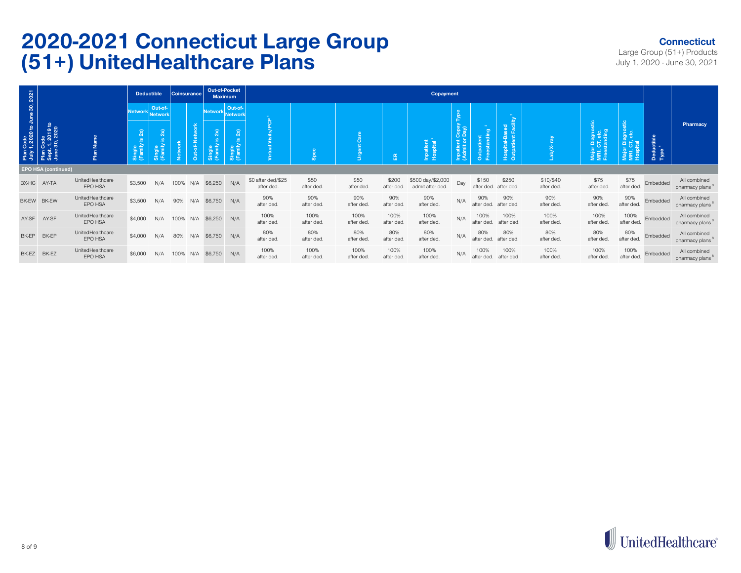#### **Connecticut**

|       |                                                                                              |                             |                                         | <b>Deductible</b>             |      | <b>Coinsurance</b> | Out-of-Pocket<br><b>Maximum</b>                          |                |                                  |                    |                    |                     | Copayment                             |                         |                     |                                               |                         |                                                           |                    |                                 |                                             |
|-------|----------------------------------------------------------------------------------------------|-----------------------------|-----------------------------------------|-------------------------------|------|--------------------|----------------------------------------------------------|----------------|----------------------------------|--------------------|--------------------|---------------------|---------------------------------------|-------------------------|---------------------|-----------------------------------------------|-------------------------|-----------------------------------------------------------|--------------------|---------------------------------|---------------------------------------------|
|       |                                                                                              |                             | Network Network                         | Out-of-                       |      |                    | Network Network                                          | Out-of-        |                                  |                    |                    |                     |                                       |                         |                     |                                               |                         |                                                           |                    |                                 |                                             |
|       | Plan Code<br>July 1, 2020 to June 30, 2021<br>Plan Code<br>Sept. 1, 2019 to<br>June 30, 2020 | Name<br>Plan                | 2x)<br>e<br>e a<br><mark>ុ</mark> ទី ចិ | 2x)<br>Single<br>[Family is : | Netv | <u>ទី</u>          | $\widehat{\mathbf{x}}$<br>言<br>ี<br>เคีย<br>(F <u>ar</u> | 2x)<br>肩<br>동료 | $\sigma$                         |                    | l g                | 岛                   | ipatient<br>lospital<br><u>을 흘</u>    | Ö.<br>Inpatie<br>(Admit | Outp                | $\overline{a}$<br>$\frac{3}{2}$ $\frac{5}{6}$ |                         | ge<br>along<br>ding<br>Major Dia<br>MRI, CT,<br>Freestanc |                    | Deductible<br>Type <sup>4</sup> | <b>Pharmacy</b>                             |
|       | <b>EPO HSA (continued)</b>                                                                   |                             |                                         |                               |      |                    |                                                          |                |                                  |                    |                    |                     |                                       |                         |                     |                                               |                         |                                                           |                    |                                 |                                             |
|       | BX-HC AY-TA                                                                                  | UnitedHealthcare<br>EPO HSA | \$3,500                                 | N/A                           | 100% |                    | N/A \$6,250 N/A                                          |                | \$0 after ded/\$25<br>after ded. | \$50<br>after ded. | \$50<br>after ded. | \$200<br>after ded. | \$500 day/\$2,000<br>admit after ded. | Day                     | \$150<br>after ded. | \$250<br>after ded.                           | \$10/\$40<br>after ded. | \$75<br>after ded.                                        | \$75<br>after ded. | Embedded                        | All combined<br>pharmacy plans <sup>8</sup> |
|       | BK-EW BK-EW                                                                                  | UnitedHealthcare<br>EPO HSA | \$3,500                                 | N/A                           | 90%  | N/A                | \$6,750                                                  | N/A            | 90%<br>after ded.                | 90%<br>after ded.  | 90%<br>after ded.  | 90%<br>after ded.   | 90%<br>after ded.                     | N/A                     | 90%<br>after ded.   | 90%<br>after ded.                             | 90%<br>after ded.       | 90%<br>after ded.                                         | 90%<br>after ded.  | Embedded                        | All combined<br>pharmacy plans              |
| AY-SF | AY-SF                                                                                        | UnitedHealthcare<br>EPO HSA | \$4,000                                 | N/A                           | 100% | N/A                | \$6,250                                                  | N/A            | 100%<br>after ded.               | 100%<br>after ded. | 100%<br>after ded. | 100%<br>after ded.  | 100%<br>after ded.                    | N/A                     | 100%<br>after ded.  | 100%<br>after ded.                            | 100%<br>after ded.      | 100%<br>after ded.                                        | 100%<br>after ded. | Embedded                        | All combined<br>pharmacy plans <sup>8</sup> |
| BK-EP | BK-EP                                                                                        | UnitedHealthcare<br>EPO HSA | \$4,000                                 | N/A                           | 80%  | N/A                | \$6,750                                                  | N/A            | 80%<br>after ded.                | 80%<br>after ded.  | 80%<br>after ded.  | 80%<br>after ded.   | 80%<br>after ded.                     | N/A                     | 80%<br>after ded.   | 80%<br>after ded.                             | 80%<br>after ded        | 80%<br>after ded.                                         | 80%<br>after ded.  | Embedded                        | All combined<br>pharmacy plans              |
|       | BK-EZ BK-EZ                                                                                  | UnitedHealthcare<br>EPO HSA | \$6,000                                 | N/A                           | 100% | N/A                | \$6,750                                                  | N/A            | 100%<br>after ded.               | 100%<br>after ded. | 100%<br>after ded. | 100%<br>after ded.  | 100%<br>after ded.                    | N/A                     | 100%<br>after ded.  | 100%<br>after ded.                            | 100%<br>after ded.      | 100%<br>after ded.                                        | 100%<br>after ded. | Embedded                        | All combined<br>pharmacy plans              |